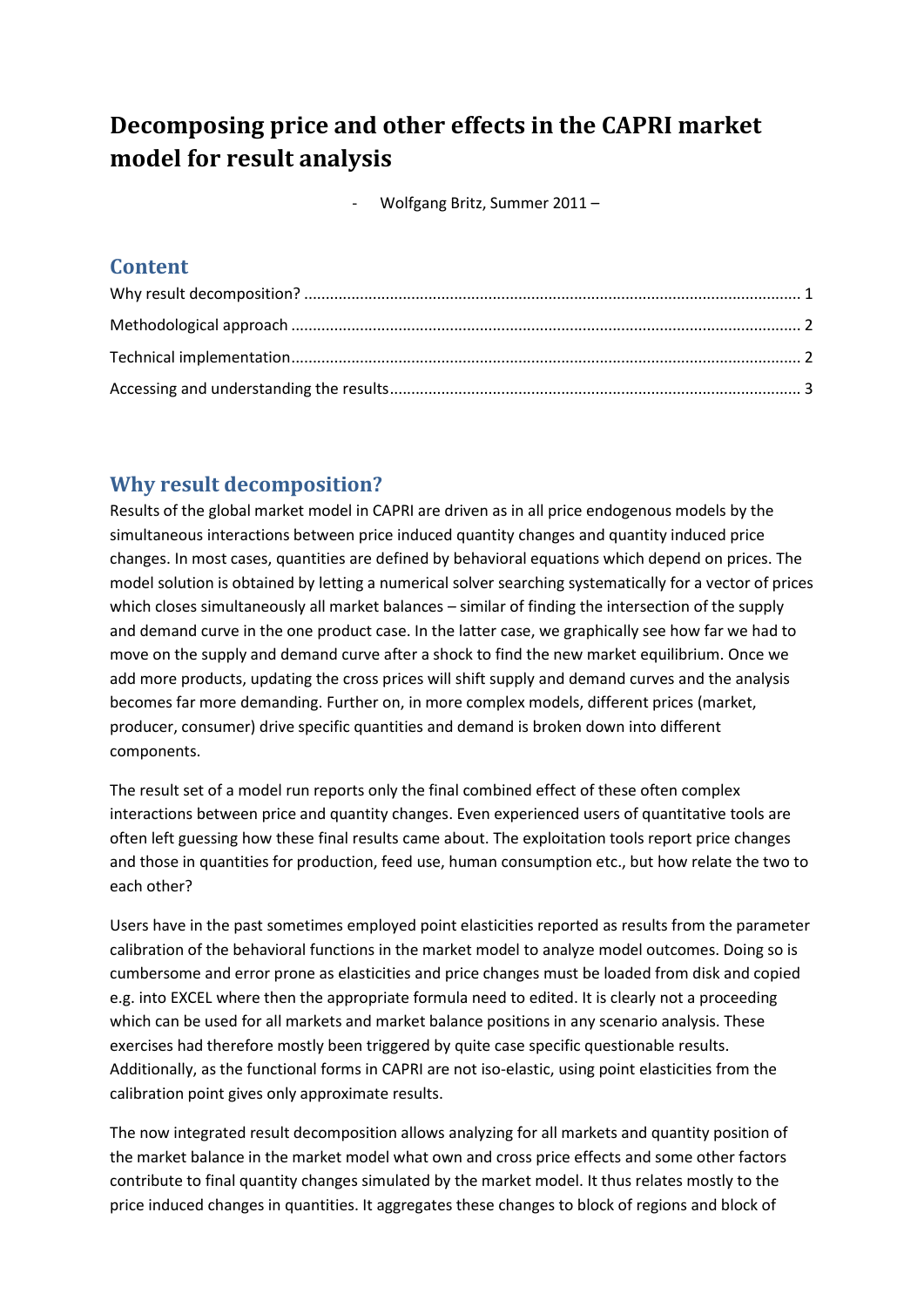# **Decomposing price and other effects in the CAPRI market model for result analysis**

- Wolfgang Britz, Summer 2011 –

#### **Content**

## <span id="page-0-0"></span>**Why result decomposition?**

Results of the global market model in CAPRI are driven as in all price endogenous models by the simultaneous interactions between price induced quantity changes and quantity induced price changes. In most cases, quantities are defined by behavioral equations which depend on prices. The model solution is obtained by letting a numerical solver searching systematically for a vector of prices which closes simultaneously all market balances – similar of finding the intersection of the supply and demand curve in the one product case. In the latter case, we graphically see how far we had to move on the supply and demand curve after a shock to find the new market equilibrium. Once we add more products, updating the cross prices will shift supply and demand curves and the analysis becomes far more demanding. Further on, in more complex models, different prices (market, producer, consumer) drive specific quantities and demand is broken down into different components.

The result set of a model run reports only the final combined effect of these often complex interactions between price and quantity changes. Even experienced users of quantitative tools are often left guessing how these final results came about. The exploitation tools report price changes and those in quantities for production, feed use, human consumption etc., but how relate the two to each other?

Users have in the past sometimes employed point elasticities reported as results from the parameter calibration of the behavioral functions in the market model to analyze model outcomes. Doing so is cumbersome and error prone as elasticities and price changes must be loaded from disk and copied e.g. into EXCEL where then the appropriate formula need to edited. It is clearly not a proceeding which can be used for all markets and market balance positions in any scenario analysis. These exercises had therefore mostly been triggered by quite case specific questionable results. Additionally, as the functional forms in CAPRI are not iso-elastic, using point elasticities from the calibration point gives only approximate results.

The now integrated result decomposition allows analyzing for all markets and quantity position of the market balance in the market model what own and cross price effects and some other factors contribute to final quantity changes simulated by the market model. It thus relates mostly to the price induced changes in quantities. It aggregates these changes to block of regions and block of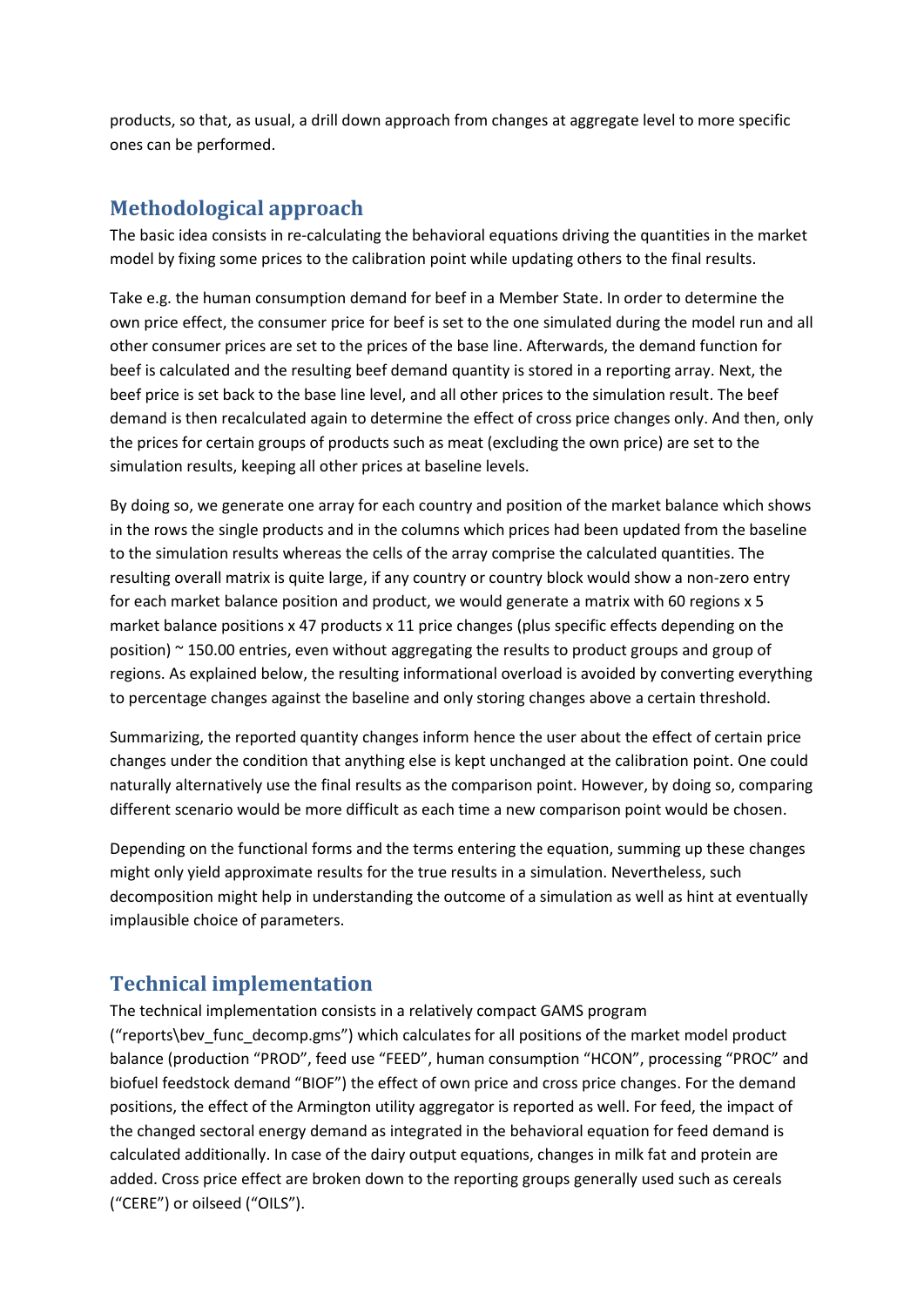products, so that, as usual, a drill down approach from changes at aggregate level to more specific ones can be performed.

#### <span id="page-1-0"></span>**Methodological approach**

The basic idea consists in re-calculating the behavioral equations driving the quantities in the market model by fixing some prices to the calibration point while updating others to the final results.

Take e.g. the human consumption demand for beef in a Member State. In order to determine the own price effect, the consumer price for beef is set to the one simulated during the model run and all other consumer prices are set to the prices of the base line. Afterwards, the demand function for beef is calculated and the resulting beef demand quantity is stored in a reporting array. Next, the beef price is set back to the base line level, and all other prices to the simulation result. The beef demand is then recalculated again to determine the effect of cross price changes only. And then, only the prices for certain groups of products such as meat (excluding the own price) are set to the simulation results, keeping all other prices at baseline levels.

By doing so, we generate one array for each country and position of the market balance which shows in the rows the single products and in the columns which prices had been updated from the baseline to the simulation results whereas the cells of the array comprise the calculated quantities. The resulting overall matrix is quite large, if any country or country block would show a non-zero entry for each market balance position and product, we would generate a matrix with 60 regions x 5 market balance positions x 47 products x 11 price changes (plus specific effects depending on the position)  $\sim$  150.00 entries, even without aggregating the results to product groups and group of regions. As explained below, the resulting informational overload is avoided by converting everything to percentage changes against the baseline and only storing changes above a certain threshold.

Summarizing, the reported quantity changes inform hence the user about the effect of certain price changes under the condition that anything else is kept unchanged at the calibration point. One could naturally alternatively use the final results as the comparison point. However, by doing so, comparing different scenario would be more difficult as each time a new comparison point would be chosen.

Depending on the functional forms and the terms entering the equation, summing up these changes might only yield approximate results for the true results in a simulation. Nevertheless, such decomposition might help in understanding the outcome of a simulation as well as hint at eventually implausible choice of parameters.

#### <span id="page-1-1"></span>**Technical implementation**

The technical implementation consists in a relatively compact GAMS program

("reports\bev\_func\_decomp.gms") which calculates for all positions of the market model product balance (production "PROD", feed use "FEED", human consumption "HCON", processing "PROC" and biofuel feedstock demand "BIOF") the effect of own price and cross price changes. For the demand positions, the effect of the Armington utility aggregator is reported as well. For feed, the impact of the changed sectoral energy demand as integrated in the behavioral equation for feed demand is calculated additionally. In case of the dairy output equations, changes in milk fat and protein are added. Cross price effect are broken down to the reporting groups generally used such as cereals ("CERE") or oilseed ("OILS").